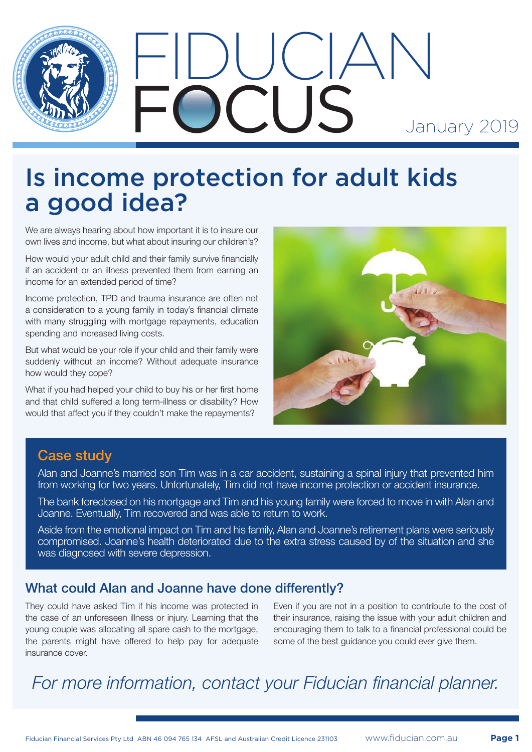

# Is income protection for adult kids a good idea?

We are always hearing about how important it is to insure our own lives and income, but what about insuring our children's?

How would your adult child and their family survive financially if an accident or an illness prevented them from earning an income for an extended period of time?

Income protection, TPD and trauma insurance are often not a consideration to a young family in today's financial climate with many struggling with mortgage repayments, education spending and increased living costs.

But what would be your role if your child and their family were suddenly without an income? Without adequate insurance how would they cope?

What if you had helped your child to buy his or her first home and that child suffered a long term-illness or disability? How would that affect you if they couldn't make the repayments?



# Case study

Alan and Joanne's married son Tim was in a car accident, sustaining a spinal injury that prevented him from working for two years. Unfortunately, Tim did not have income protection or accident insurance.

The bank foreclosed on his mortgage and Tim and his young family were forced to move in with Alan and Joanne. Eventually, Tim recovered and was able to return to work.

Aside from the emotional impact on Tim and his family, Alan and Joanne's retirement plans were seriously compromised. Joanne's health deteriorated due to the extra stress caused by of the situation and she was diagnosed with severe depression.

# What could Alan and Joanne have done differently?

They could have asked Tim if his income was protected in the case of an unforeseen illness or injury. Learning that the young couple was allocating all spare cash to the mortgage, the parents might have offered to help pay for adequate insurance cover.

Even if you are not in a position to contribute to the cost of their insurance, raising the issue with your adult children and encouraging them to talk to a financial professional could be some of the best guidance you could ever give them.

# For more information, contact your Fiducian financial planner.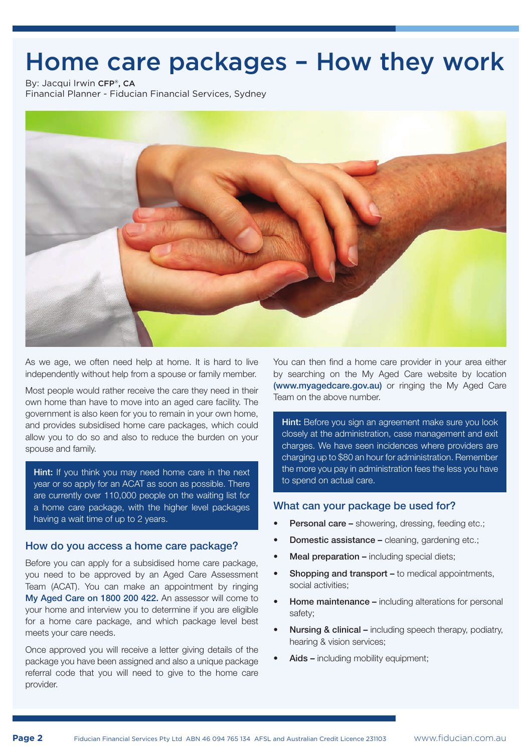# Home care packages – How they work

By: Jacqui Irwin CFP®, CA

Financial Planner - Fiducian Financial Services, Sydney



As we age, we often need help at home. It is hard to live independently without help from a spouse or family member.

Most people would rather receive the care they need in their own home than have to move into an aged care facility. The government is also keen for you to remain in your own home, and provides subsidised home care packages, which could allow you to do so and also to reduce the burden on your spouse and family.

Hint: If you think you may need home care in the next year or so apply for an ACAT as soon as possible. There are currently over 110,000 people on the waiting list for a home care package, with the higher level packages having a wait time of up to 2 years.

### How do you access a home care package?

Before you can apply for a subsidised home care package, you need to be approved by an Aged Care Assessment Team (ACAT). You can make an appointment by ringing My Aged Care on 1800 200 422. An assessor will come to your home and interview you to determine if you are eligible for a home care package, and which package level best meets your care needs.

Once approved you will receive a letter giving details of the package you have been assigned and also a unique package referral code that you will need to give to the home care provider.

You can then find a home care provider in your area either by searching on the My Aged Care website by location (www.myagedcare.gov.au) or ringing the My Aged Care Team on the above number.

Hint: Before you sign an agreement make sure you look closely at the administration, case management and exit charges. We have seen incidences where providers are charging up to \$80 an hour for administration. Remember the more you pay in administration fees the less you have to spend on actual care.

#### What can your package be used for?

- **Personal care –** showering, dressing, feeding etc.;
- **Domestic assistance cleaning, gardening etc.;**
- **Meal preparation –** including special diets;
- **Shopping and transport –** to medical appointments, social activities;
- Home maintenance including alterations for personal safety;
- Nursing & clinical including speech therapy, podiatry, hearing & vision services;
- Aids including mobility equipment;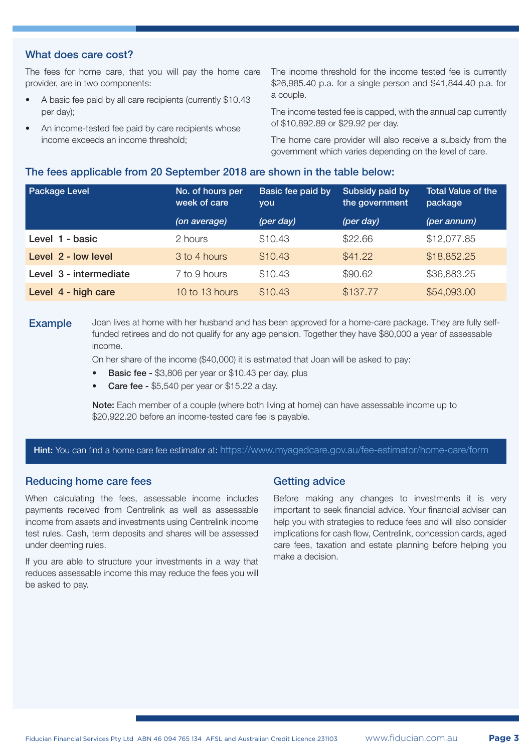## What does care cost?

The fees for home care, that you will pay the home care provider, are in two components:

- A basic fee paid by all care recipients (currently \$10.43) per day);
- An income-tested fee paid by care recipients whose income exceeds an income threshold;

The income threshold for the income tested fee is currently \$26,985.40 p.a. for a single person and \$41,844.40 p.a. for a couple.

The income tested fee is capped, with the annual cap currently of \$10,892.89 or \$29.92 per day.

The home care provider will also receive a subsidy from the government which varies depending on the level of care.

# The fees applicable from 20 September 2018 are shown in the table below:

| <b>Package Level</b>   | No. of hours per<br>week of care | Basic fee paid by<br>you | Subsidy paid by<br>the government | <b>Total Value of the</b><br>package |
|------------------------|----------------------------------|--------------------------|-----------------------------------|--------------------------------------|
|                        | (on average)                     | (per day)                | (per day)                         | (per annum)                          |
| Level 1 - basic        | 2 hours                          | \$10.43                  | \$22.66                           | \$12,077.85                          |
| Level 2 - low level    | 3 to 4 hours                     | \$10.43                  | \$41.22                           | \$18,852.25                          |
| Level 3 - intermediate | 7 to 9 hours                     | \$10.43                  | \$90.62                           | \$36,883.25                          |
| Level 4 - high care    | 10 to 13 hours                   | \$10.43                  | \$137.77                          | \$54,093.00                          |

**Example** Joan lives at home with her husband and has been approved for a home-care package. They are fully selffunded retirees and do not qualify for any age pension. Together they have \$80,000 a year of assessable income.

On her share of the income (\$40,000) it is estimated that Joan will be asked to pay:

- **Basic fee**  $$3,806$  **per year or**  $$10.43$  **per day, plus**
- **Care fee**  $$5,540$  **per year or**  $$15.22$  **a day.**

Note: Each member of a couple (where both living at home) can have assessable income up to \$20,922.20 before an income-tested care fee is payable.

Hint: You can find a home care fee estimator at: https://www.myagedcare.gov.au/fee-estimator/home-care/form

### Reducing home care fees

When calculating the fees, assessable income includes payments received from Centrelink as well as assessable income from assets and investments using Centrelink income test rules. Cash, term deposits and shares will be assessed under deeming rules.

If you are able to structure your investments in a way that reduces assessable income this may reduce the fees you will be asked to pay.

### Getting advice

Before making any changes to investments it is very important to seek financial advice. Your financial adviser can help you with strategies to reduce fees and will also consider implications for cash flow, Centrelink, concession cards, aged care fees, taxation and estate planning before helping you make a decision.